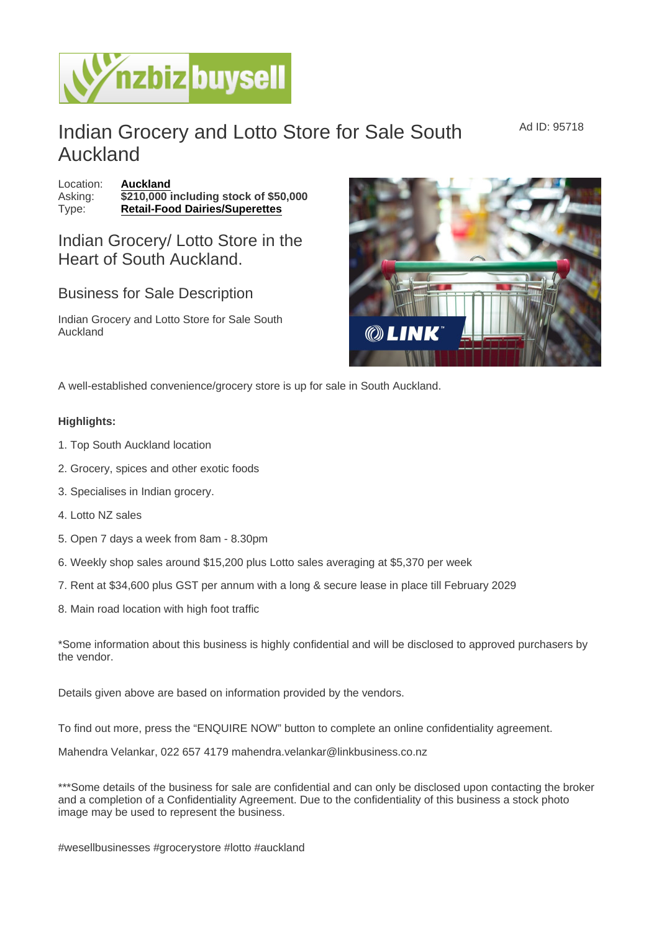## Indian Grocery and Lotto Store for Sale South Auckland

Ad ID: 95718

Location: [Auckland](https://www.nzbizbuysell.co.nz/businesses-for-sale/location/Auckland) Asking:  $\sqrt{3210,000}$  including stock of \$50,000 Type: [Retail-Food Dairies/Superettes](https://www.nzbizbuysell.co.nz/businesses-for-sale/Retail-Food-Dairies--Superettes/New-Zealand)

Indian Grocery/ Lotto Store in the Heart of South Auckland.

Business for Sale Description

Indian Grocery and Lotto Store for Sale South Auckland

A well-established convenience/grocery store is up for sale in South Auckland.

Highlights:

- 1. Top South Auckland location
- 2. Grocery, spices and other exotic foods
- 3. Specialises in Indian grocery.
- 4. Lotto NZ sales
- 5. Open 7 days a week from 8am 8.30pm
- 6. Weekly shop sales around \$15,200 plus Lotto sales averaging at \$5,370 per week
- 7. Rent at \$34,600 plus GST per annum with a long & secure lease in place till February 2029
- 8. Main road location with high foot traffic

\*Some information about this business is highly confidential and will be disclosed to approved purchasers by the vendor.

Details given above are based on information provided by the vendors.

To find out more, press the "ENQUIRE NOW" button to complete an online confidentiality agreement.

Mahendra Velankar, 022 657 4179 mahendra.velankar@linkbusiness.co.nz

\*\*\*Some details of the business for sale are confidential and can only be disclosed upon contacting the broker and a completion of a Confidentiality Agreement. Due to the confidentiality of this business a stock photo image may be used to represent the business.

#wesellbusinesses #grocerystore #lotto #auckland